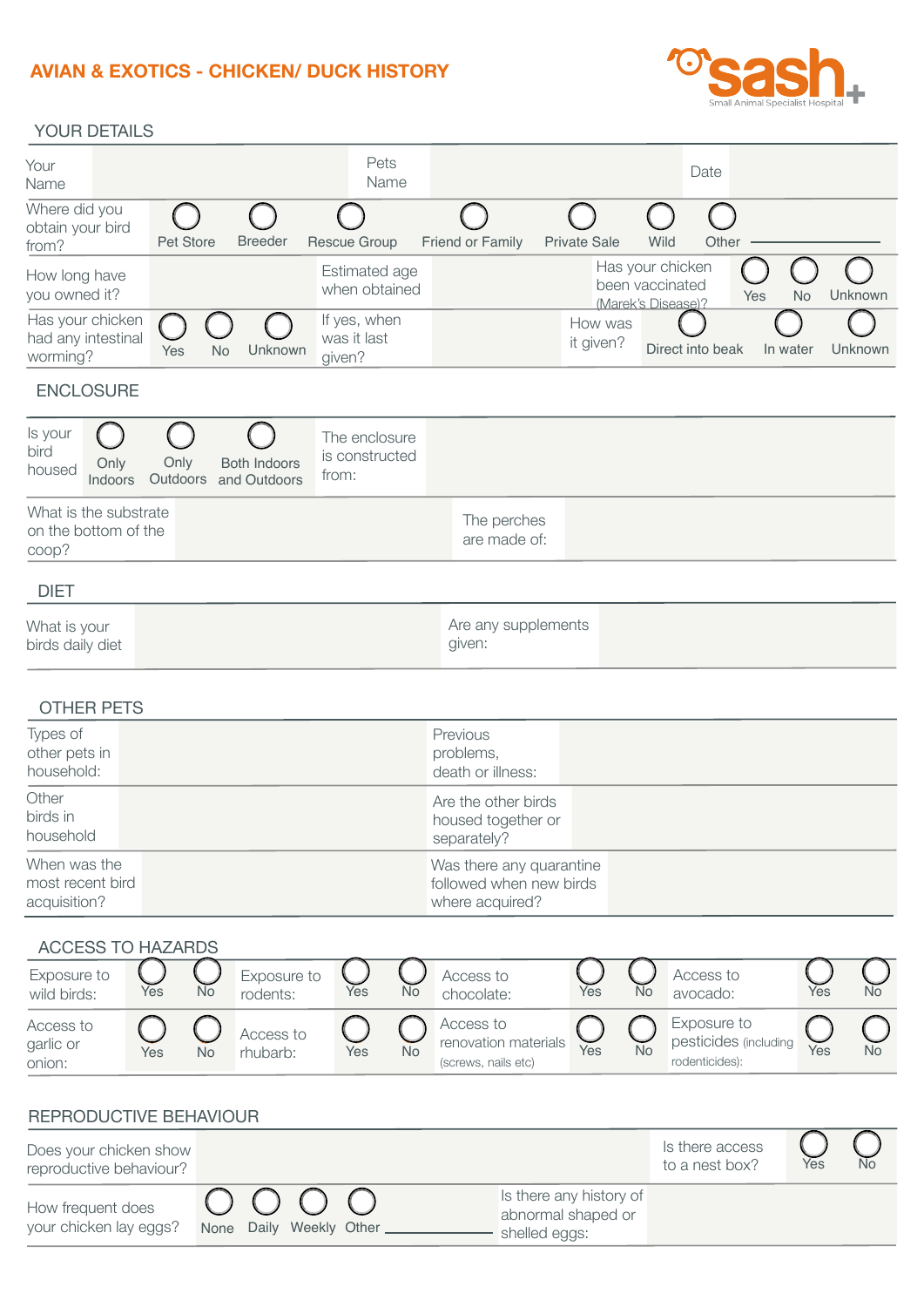### **AVIAN & EXOTICS - CHICKEN/ DUCK HISTORY**



### YOUR DETAILS

| Your<br>Name                                           |                  |                                     | Pets<br>Name                             |                                                                        |                      |                                                           | Date      |                  |         |
|--------------------------------------------------------|------------------|-------------------------------------|------------------------------------------|------------------------------------------------------------------------|----------------------|-----------------------------------------------------------|-----------|------------------|---------|
| Where did you<br>obtain your bird<br>from?             | Pet Store        | <b>Breeder</b>                      | <b>Rescue Group</b>                      | Friend or Family                                                       | <b>Private Sale</b>  | Wild                                                      | Other     |                  |         |
| How long have<br>you owned it?                         |                  |                                     | Estimated age<br>when obtained           |                                                                        |                      | Has your chicken<br>been vaccinated<br>(Marek's Disease)? |           | Yes<br><b>No</b> | Unknown |
| Has your chicken<br>had any intestinal<br>worming?     | Yes<br><b>No</b> | Unknown                             | If yes, when<br>was it last<br>given?    |                                                                        | How was<br>it given? | Direct into beak                                          |           | In water         | Unknown |
| <b>ENCLOSURE</b>                                       |                  |                                     |                                          |                                                                        |                      |                                                           |           |                  |         |
| Is your<br>bird<br>Only<br>housed<br>Indoors           | Only<br>Outdoors | <b>Both Indoors</b><br>and Outdoors | The enclosure<br>is constructed<br>from: |                                                                        |                      |                                                           |           |                  |         |
| What is the substrate<br>on the bottom of the<br>coop? |                  |                                     |                                          | The perches<br>are made of:                                            |                      |                                                           |           |                  |         |
| <b>DIET</b>                                            |                  |                                     |                                          |                                                                        |                      |                                                           |           |                  |         |
| What is your<br>birds daily diet                       |                  |                                     |                                          | Are any supplements<br>given:                                          |                      |                                                           |           |                  |         |
| <b>OTHER PETS</b>                                      |                  |                                     |                                          |                                                                        |                      |                                                           |           |                  |         |
| Types of<br>other pets in<br>household:                |                  |                                     |                                          | Previous<br>problems,<br>death or illness:                             |                      |                                                           |           |                  |         |
| Other<br>birds in<br>household                         |                  |                                     |                                          | Are the other birds<br>housed together or<br>separately?               |                      |                                                           |           |                  |         |
| When was the<br>most recent bird<br>acquisition?       |                  |                                     |                                          | Was there any quarantine<br>followed when new birds<br>where acquired? |                      |                                                           |           |                  |         |
| <b>ACCESS TO HAZARDS</b><br>Exposure to                |                  | Exposure to                         |                                          | Access to                                                              |                      |                                                           | Access to |                  |         |
|                                                        |                  |                                     |                                          |                                                                        |                      |                                                           |           |                  |         |

| $-$<br>wild birds:               | Yes | No | $-$<br>rodents:       | Yes | No        | <br>chocolate:                                           | Yes | No | .<br>avocado:                                          | Yes | <b>No</b> |
|----------------------------------|-----|----|-----------------------|-----|-----------|----------------------------------------------------------|-----|----|--------------------------------------------------------|-----|-----------|
| Access to<br>garlic or<br>onion: | Yes | No | Access to<br>rhubarb: | Yes | <b>No</b> | Access to<br>renovation materials<br>(screws, nails etc) | Yes | No | Exposure to<br>pesticides (including<br>rodenticides): | Yes | <b>No</b> |

#### None Daily Weekly Other REPRODUCTIVE BEHAVIOUR Does your chicken show reproductive behaviour? Is there access to a nest box? How frequent does your chicken lay eggs? Is there any history of abnormal shaped or - shelled eggs: Yes No